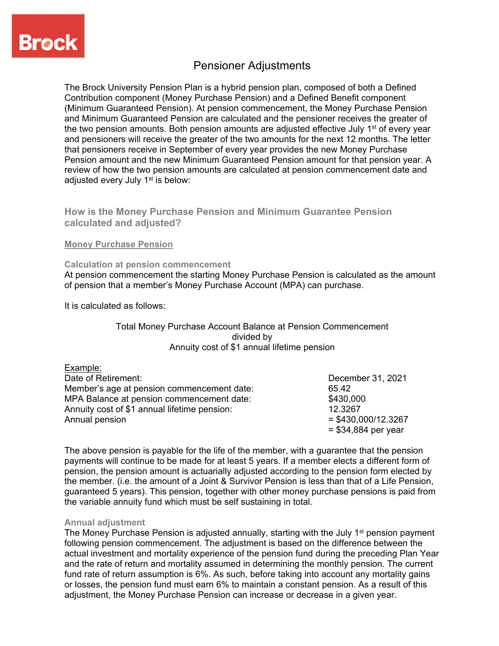

# Pensioner Adjustments

The Brock University Pension Plan is a hybrid pension plan, composed of both a Defined Contribution component (Money Purchase Pension) and a Defined Benefit component (Minimum Guaranteed Pension). At pension commencement, the Money Purchase Pension and Minimum Guaranteed Pension are calculated and the pensioner receives the greater of the two pension amounts. Both pension amounts are adjusted effective July  $1<sup>st</sup>$  of every year and pensioners will receive the greater of the two amounts for the next 12 months. The letter that pensioners receive in September of every year provides the new Money Purchase Pension amount and the new Minimum Guaranteed Pension amount for that pension year. A review of how the two pension amounts are calculated at pension commencement date and adiusted every July 1<sup>st</sup> is below:

## **How is the Money Purchase Pension and Minimum Guarantee Pension calculated and adjusted?**

## **Money Purchase Pension**

## **Calculation at pension commencement**

At pension commencement the starting Money Purchase Pension is calculated as the amount of pension that a member's Money Purchase Account (MPA) can purchase.

It is calculated as follows:

## Total Money Purchase Account Balance at Pension Commencement divided by Annuity cost of \$1 annual lifetime pension

| Example:                                     |                       |
|----------------------------------------------|-----------------------|
| Date of Retirement:                          | December 31, 2021     |
| Member's age at pension commencement date:   | 65.42                 |
| MPA Balance at pension commencement date:    | \$430,000             |
| Annuity cost of \$1 annual lifetime pension: | 12.3267               |
| Annual pension                               | $=$ \$430,000/12.3267 |
|                                              | $= $34,884$ per year  |

The above pension is payable for the life of the member, with a guarantee that the pension payments will continue to be made for at least 5 years. If a member elects a different form of pension, the pension amount is actuarially adjusted according to the pension form elected by the member. (i.e. the amount of a Joint & Survivor Pension is less than that of a Life Pension, guaranteed 5 years). This pension, together with other money purchase pensions is paid from the variable annuity fund which must be self sustaining in total.

## **Annual adjustment**

The Money Purchase Pension is adjusted annually, starting with the July  $1<sup>st</sup>$  pension payment following pension commencement. The adjustment is based on the difference between the actual investment and mortality experience of the pension fund during the preceding Plan Year and the rate of return and mortality assumed in determining the monthly pension. The current fund rate of return assumption is 6%. As such, before taking into account any mortality gains or losses, the pension fund must earn 6% to maintain a constant pension. As a result of this adjustment, the Money Purchase Pension can increase or decrease in a given year.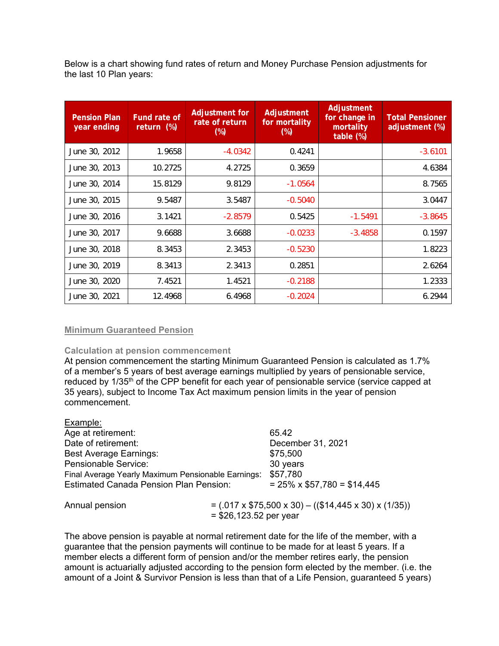Below is a chart showing fund rates of return and Money Purchase Pension adjustments for the last 10 Plan years:

| <b>Pension Plan</b><br>year ending | Fund rate of<br>return (%) | Adjustment for<br>rate of return<br>$(\%)$ | Adjustment<br>for mortality<br>$(\%)$ | Adjustment<br>for change in<br>mortality<br>table (%) | <b>Total Pensioner</b><br>adjustment (%) |
|------------------------------------|----------------------------|--------------------------------------------|---------------------------------------|-------------------------------------------------------|------------------------------------------|
| June 30, 2012                      | 1.9658                     | $-4.0342$                                  | 0.4241                                |                                                       | $-3.6101$                                |
| June 30, 2013                      | 10.2725                    | 4.2725                                     | 0.3659                                |                                                       | 4.6384                                   |
| June 30, 2014                      | 15.8129                    | 9.8129                                     | $-1.0564$                             |                                                       | 8.7565                                   |
| June 30, 2015                      | 9.5487                     | 3.5487                                     | $-0.5040$                             |                                                       | 3.0447                                   |
| June 30, 2016                      | 3.1421                     | $-2.8579$                                  | 0.5425                                | $-1.5491$                                             | $-3.8645$                                |
| June 30, 2017                      | 9.6688                     | 3.6688                                     | $-0.0233$                             | $-3.4858$                                             | 0.1597                                   |
| June 30, 2018                      | 8.3453                     | 2.3453                                     | $-0.5230$                             |                                                       | 1.8223                                   |
| June 30, 2019                      | 8.3413                     | 2.3413                                     | 0.2851                                |                                                       | 2.6264                                   |
| June 30, 2020                      | 7.4521                     | 1.4521                                     | $-0.2188$                             |                                                       | 1.2333                                   |
| June 30, 2021                      | 12.4968                    | 6.4968                                     | $-0.2024$                             |                                                       | 6.2944                                   |

## **Minimum Guaranteed Pension**

## **Calculation at pension commencement**

At pension commencement the starting Minimum Guaranteed Pension is calculated as 1.7% of a member's 5 years of best average earnings multiplied by years of pensionable service, reduced by 1/35<sup>th</sup> of the CPP benefit for each year of pensionable service (service capped at 35 years), subject to Income Tax Act maximum pension limits in the year of pension commencement.

| Example:                                           |                                                                            |                                   |
|----------------------------------------------------|----------------------------------------------------------------------------|-----------------------------------|
| Age at retirement:                                 |                                                                            | 65.42                             |
| Date of retirement:                                |                                                                            | December 31, 2021                 |
| <b>Best Average Earnings:</b>                      |                                                                            | \$75,500                          |
| Pensionable Service:                               |                                                                            | 30 years                          |
| Final Average Yearly Maximum Pensionable Earnings: |                                                                            | \$57,780                          |
| <b>Estimated Canada Pension Plan Pension:</b>      |                                                                            | $= 25\% \times $57,780 = $14,445$ |
| Annual pension                                     | $= (0.017 \times $75,500 \times 30) - (($14,445 \times 30) \times (1/35))$ |                                   |
|                                                    | $= $26,123.52$ per year                                                    |                                   |

The above pension is payable at normal retirement date for the life of the member, with a guarantee that the pension payments will continue to be made for at least 5 years. If a member elects a different form of pension and/or the member retires early, the pension amount is actuarially adjusted according to the pension form elected by the member. (i.e. the amount of a Joint & Survivor Pension is less than that of a Life Pension, guaranteed 5 years)